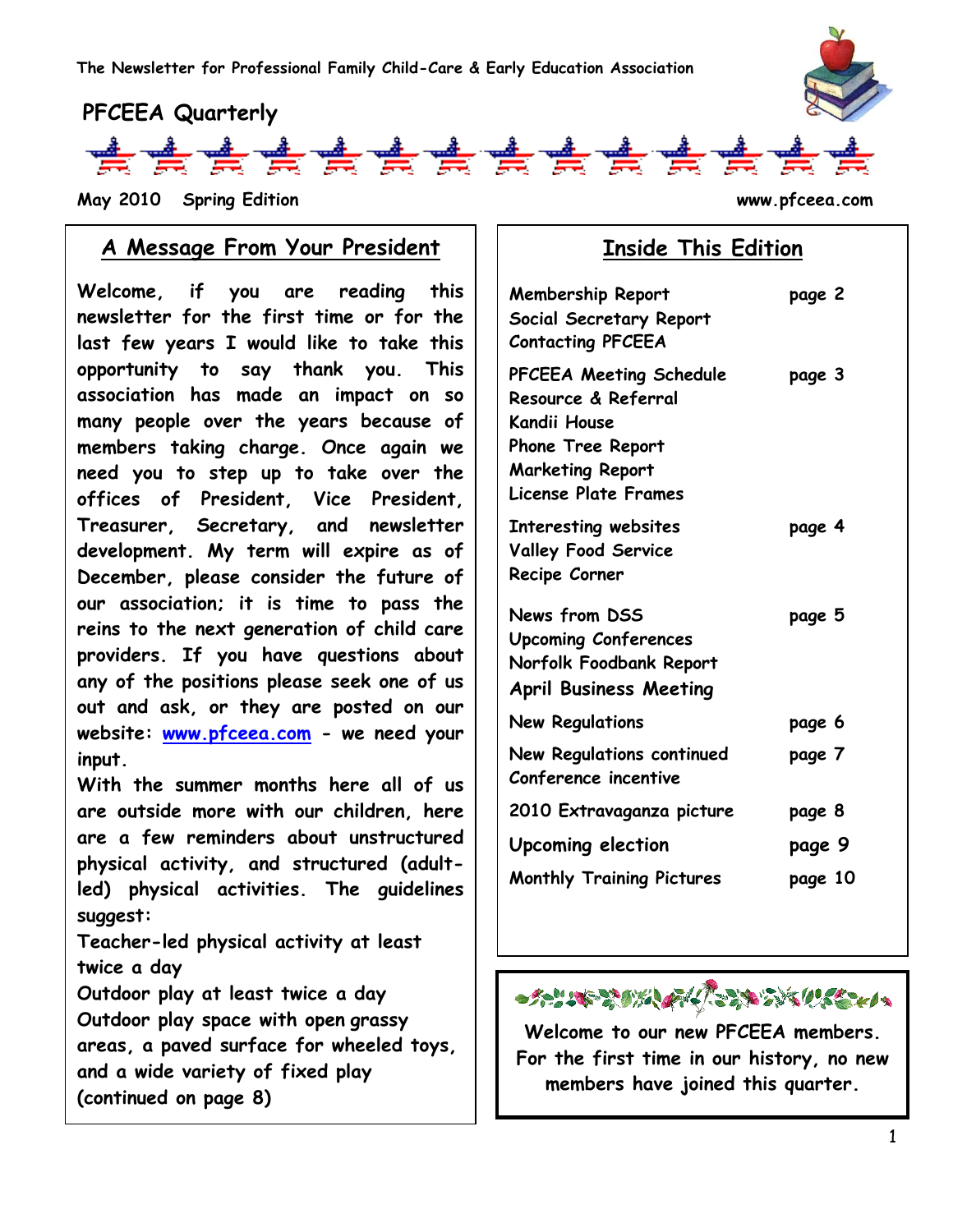



**May 2010 Spring Edition www.pfceea.com** 

#### **A Message From Your President**

**Welcome, if you are reading this newsletter for the first time or for the last few years I would like to take this opportunity to say thank you. This association has made an impact on so many people over the years because of members taking charge. Once again we need you to step up to take over the offices of President, Vice President, Treasurer, Secretary, and newsletter development. My term will expire as of December, please consider the future of our association; it is time to pass the reins to the next generation of child care providers. If you have questions about any of the positions please seek one of us out and ask, or they are posted on our website: [www.pfceea.com](http://www.pfceea.com/) - we need your input.**

**With the summer months here all of us are outside more with our children, here are a few reminders about unstructured physical activity, and structured (adultled) physical activities. The guidelines suggest:** 

**Teacher-led physical activity at least twice a day**

**Outdoor play at least twice a day Outdoor play space with open grassy areas, a paved surface for wheeled toys, and a wide variety of fixed play (continued on page 8)**

# **Inside This Edition**

| <b>Membership Report</b><br>Social Secretary Report<br><b>Contacting PFCEEA</b>                                                                             | page 2  |
|-------------------------------------------------------------------------------------------------------------------------------------------------------------|---------|
| PFCEEA Meeting Schedule<br>Resource & Referral<br><b>Kandii House</b><br><b>Phone Tree Report</b><br><b>Marketing Report</b><br><b>License Plate Frames</b> | page 3  |
| <b>Interesting websites</b><br><b>Valley Food Service</b><br>Recipe Corner                                                                                  | page 4  |
| News from DSS<br><b>Upcoming Conferences</b><br>Norfolk Foodbank Report<br><b>April Business Meeting</b>                                                    | page 5  |
| <b>New Regulations</b>                                                                                                                                      | page 6  |
| <b>New Regulations continued</b><br>Conference incentive                                                                                                    | page 7  |
| 2010 Extravaganza picture                                                                                                                                   | page 8  |
| <b>Upcoming election</b>                                                                                                                                    | page 9  |
| <b>Monthly Training Pictures</b>                                                                                                                            | page 10 |
|                                                                                                                                                             |         |



**Welcome to our new PFCEEA members. For the first time in our history, no new members have joined this quarter.**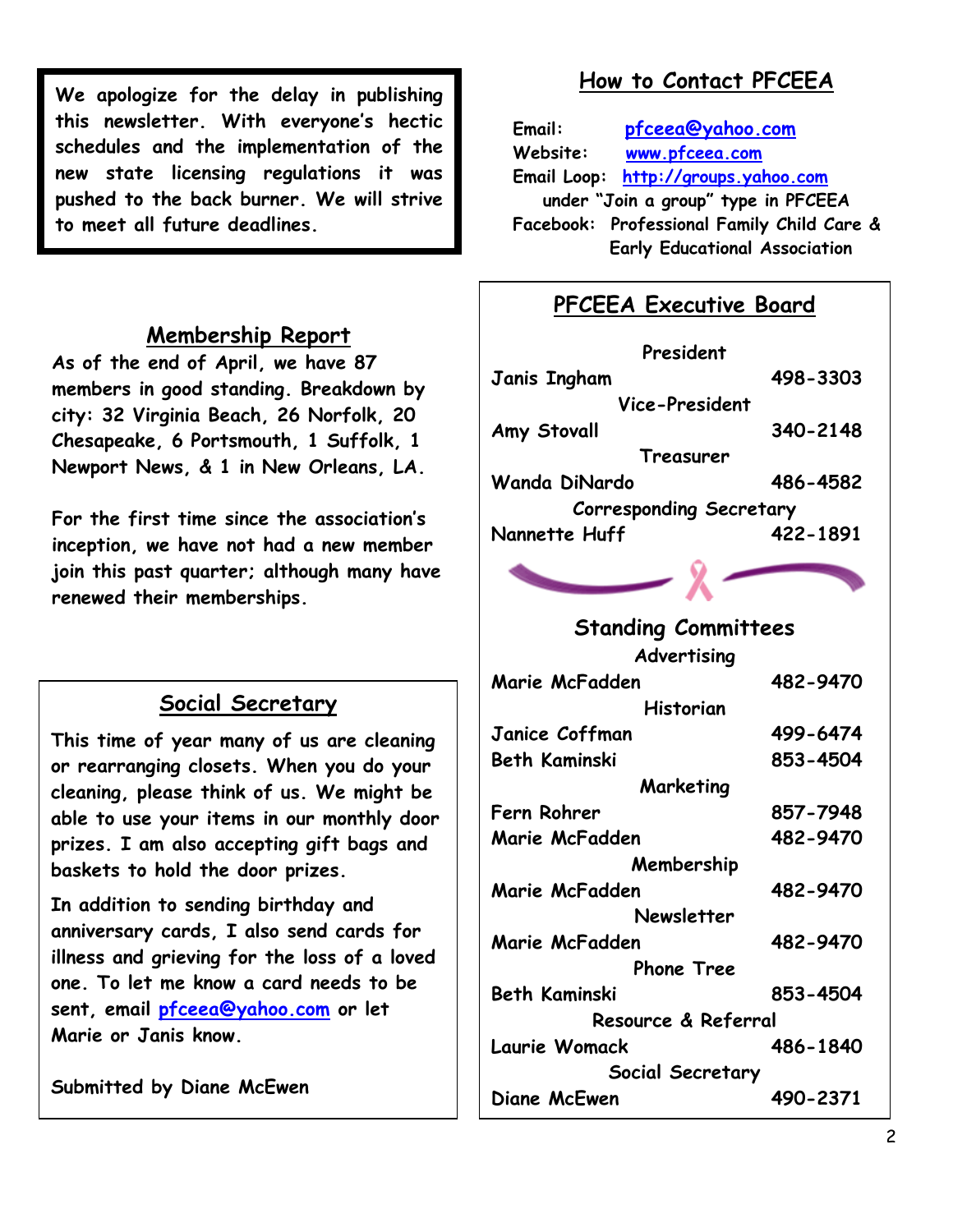**We apologize for the delay in publishing this newsletter. With everyone's hectic schedules and the implementation of the new state licensing regulations it was pushed to the back burner. We will strive to meet all future deadlines.**

#### **Membership Report**

**As of the end of April, we have 87 members in good standing. Breakdown by city: 32 Virginia Beach, 26 Norfolk, 20 Chesapeake, 6 Portsmouth, 1 Suffolk, 1 Newport News, & 1 in New Orleans, LA.**

**For the first time since the association's inception, we have not had a new member join this past quarter; although many have renewed their memberships.**

### **Social Secretary**

**This time of year many of us are cleaning or rearranging closets. When you do your cleaning, please think of us. We might be able to use your items in our monthly door prizes. I am also accepting gift bags and baskets to hold the door prizes.**

**In addition to sending birthday and anniversary cards, I also send cards for illness and grieving for the loss of a loved one. To let me know a card needs to be sent, email [pfceea@yahoo.com](mailto:pfceea@yahoo.com) or let Marie or Janis know.**

**Submitted by Diane McEwen**

# **How to Contact PFCEEA**

**Email: [pfceea@yahoo.com](mailto:pfceea@yahoo.com) Website: [www.pfceea.com](http://www.pfceea.com/) Email Loop: [http://groups.yahoo.com](http://groups.yahoo.com/) under "Join a group" type in PFCEEA Facebook: Professional Family Child Care & Early Educational Association**

### **PFCEEA Executive Board**

| President                      |          |
|--------------------------------|----------|
| Janis Ingham                   | 498-3303 |
| Vice-President                 |          |
| Amy Stovall                    | 340-2148 |
| Treasurer                      |          |
| Wanda DiNardo                  | 486-4582 |
| <b>Corresponding Secretary</b> |          |
| Nannette Huff                  | 422-1891 |



**Advertising**

| Marie McFadden       | 482-9470 |
|----------------------|----------|
| Historian            |          |
| Janice Coffman       | 499-6474 |
| Beth Kaminski        | 853-4504 |
| Marketing            |          |
| Fern Rohrer          | 857-7948 |
| Marie McFadden       | 482-9470 |
| Membership           |          |
| Marie McFadden       | 482-9470 |
| Newsletter           |          |
| Marie McFadden       | 482-9470 |
| <b>Phone Tree</b>    |          |
| <b>Beth Kaminski</b> | 853-4504 |
| Resource & Referral  |          |
| Laurie Womack        | 486-1840 |
| Social Secretary     |          |
| Diane McEwen         | 490-2371 |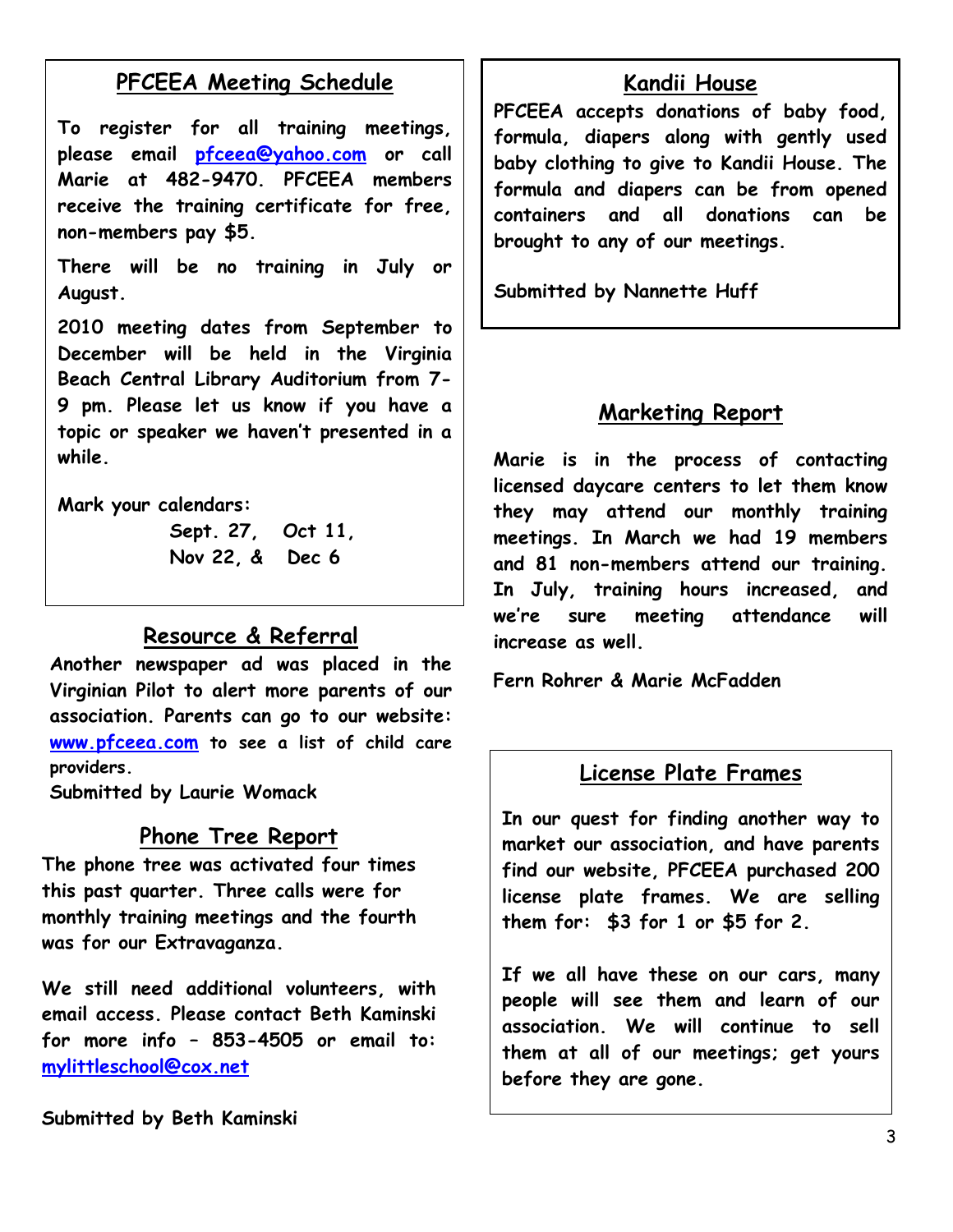# **PFCEEA Meeting Schedule**

**To register for all training meetings, please email [pfceea@yahoo.com](mailto:pfceea@yahoo.com) or call Marie at 482-9470. PFCEEA members receive the training certificate for free, non-members pay \$5.** 

**There will be no training in July or August.** 

**2010 meeting dates from September to December will be held in the Virginia Beach Central Library Auditorium from 7- 9 pm. Please let us know if you have a topic or speaker we haven't presented in a while.**

**Mark your calendars:**

**Sept. 27, Oct 11, Nov 22, & Dec 6**

#### **Resource & Referral**

**Another newspaper ad was placed in the Virginian Pilot to alert more parents of our association. Parents can go to our website: [www.pfceea.com](http://www.pfceea.com/) to see a list of child care providers.**

**Submitted by Laurie Womack**

#### **Phone Tree Report**

**The phone tree was activated four times this past quarter. Three calls were for monthly training meetings and the fourth was for our Extravaganza.**

**We still need additional volunteers, with email access. Please contact Beth Kaminski for more info – 853-4505 or email to: [mylittleschool@cox.net](mailto:mylittleschool@cox.net)**

**Submitted by Beth Kaminski**

#### **Kandii House**

**PFCEEA accepts donations of baby food, formula, diapers along with gently used baby clothing to give to Kandii House. The formula and diapers can be from opened containers and all donations can be brought to any of our meetings.**

**Submitted by Nannette Huff**

#### **Marketing Report**

**Marie is in the process of contacting licensed daycare centers to let them know they may attend our monthly training meetings. In March we had 19 members and 81 non-members attend our training. In July, training hours increased, and we're sure meeting attendance will increase as well.**

**Fern Rohrer & Marie McFadden** 

#### **License Plate Frames**

**In our quest for finding another way to market our association, and have parents find our website, PFCEEA purchased 200 license plate frames. We are selling them for: \$3 for 1 or \$5 for 2.**

**If we all have these on our cars, many people will see them and learn of our association. We will continue to sell them at all of our meetings; get yours before they are gone.**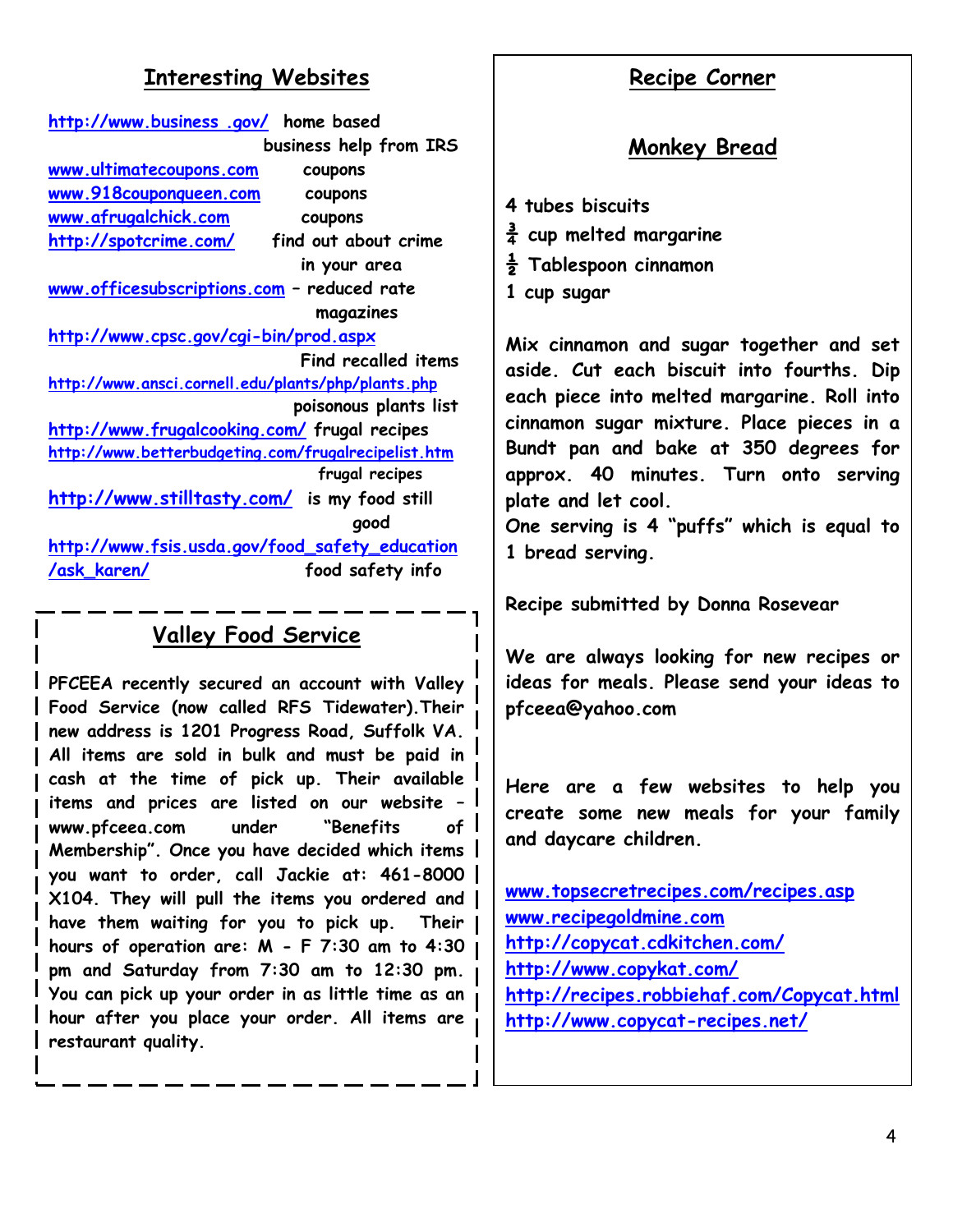#### **Interesting Websites**

| http://www.business .gov/ home based                   |                        |
|--------------------------------------------------------|------------------------|
|                                                        | business help from IRS |
| www.ultimatecoupons.com                                | coupons                |
| www.918couponqueen.com                                 | coupons                |
| www.afrugalchick.com                                   | coupons                |
| <u> http://spotcrime.com/</u>                          | find out about crime   |
|                                                        | in your area           |
| <u>www.officesubscriptions.com</u> - reduced rate      |                        |
|                                                        | magazines              |
| <u> http://www.cpsc.gov/cgi-bin/prod.aspx</u>          |                        |
|                                                        | Find recalled items    |
| http://www.ansci.cornell.edu/plants/php/plants.php     |                        |
|                                                        | poisonous plants list  |
| <u> http://www.frugalcooking.com/</u> frugal recipes   |                        |
| http://www.betterbudgeting.com/frugalrecipelist.htm    |                        |
|                                                        | frugal recipes         |
| http://www.stilltasty.com/ is my food still            |                        |
|                                                        | qood                   |
| <u> http://www.fsis.usda.gov/food_safety_education</u> |                        |
|                                                        |                        |

# **Valley Food Service**

 **items and prices are listed on our website – PFCEEA recently secured an account with Valley Food Service (now called RFS Tidewater).Their new address is 1201 Progress Road, Suffolk VA. All items are sold in bulk and must be paid in cash at the time of pick up. Their available www.pfceea.com under "Benefits of Membership". Once you have decided which items you want to order, call Jackie at: 461-8000 X104. They will pull the items you ordered and have them waiting for you to pick up. Their hours of operation are: M - F 7:30 am to 4:30 pm and Saturday from 7:30 am to 12:30 pm. You can pick up your order in as little time as an hour after you place your order. All items are restaurant quality.**

#### **Recipe Corner**

# **Monkey Bread**

- **4 tubes biscuits**
- **¾ cup melted margarine**
- **½ Tablespoon cinnamon**
- **1 cup sugar**

**Mix cinnamon and sugar together and set aside. Cut each biscuit into fourths. Dip each piece into melted margarine. Roll into cinnamon sugar mixture. Place pieces in a Bundt pan and bake at 350 degrees for approx. 40 minutes. Turn onto serving plate and let cool.**

**One serving is 4 "puffs" which is equal to 1 bread serving.**

**Recipe submitted by Donna Rosevear**

**We are always looking for new recipes or ideas for meals. Please send your ideas to pfceea@yahoo.com**

**Here are a few websites to help you create some new meals for your family and daycare children.**

**[www.topsecretrecipes.com/recipes.asp](http://www.topsecretrecipes.com/recipes.asp) [www.recipegoldmine.com](http://www.recipegoldmine.com/) <http://copycat.cdkitchen.com/> <http://www.copykat.com/> <http://recipes.robbiehaf.com/Copycat.html> <http://www.copycat-recipes.net/>**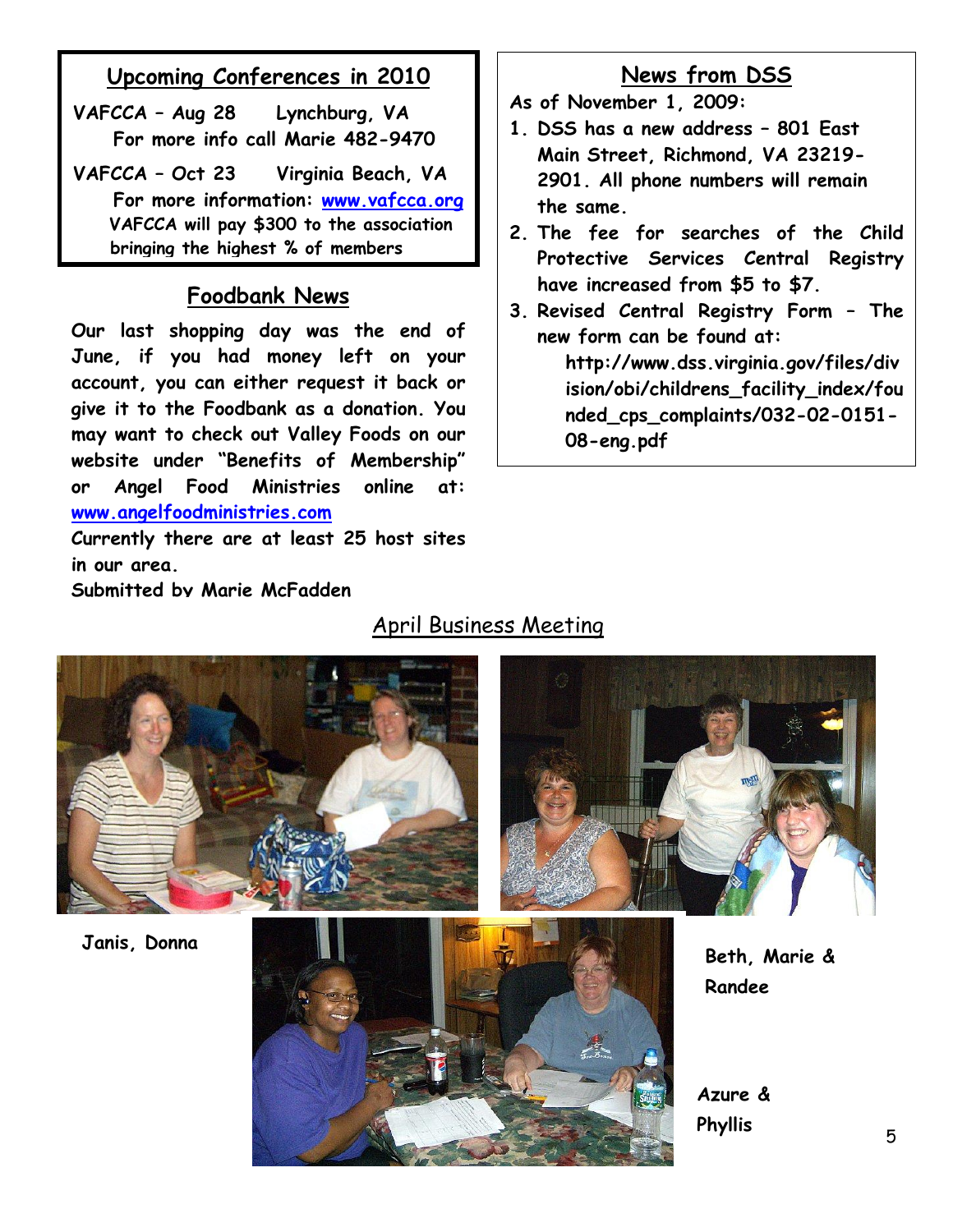# **Upcoming Conferences in 2010**

- **VAFCCA – Aug 28 Lynchburg, VA For more info call Marie 482-9470**
- **VAFCCA – Oct 23 Virginia Beach, VA For more information: [www.vafcca.org](http://www.vafcca.org/) VAFCCA will pay \$300 to the association bringing the highest % of members**

### **Foodbank News**

**Our last shopping day was the end of June, if you had money left on your account, you can either request it back or give it to the Foodbank as a donation. You may want to check out Valley Foods on our website under "Benefits of Membership" or Angel Food Ministries online at: [www.angelfoodministries.com](http://www.angelfoodministries.com/)**

**Currently there are at least 25 host sites in our area.**

**Submitted by Marie McFadden**

# **News from DSS**

**As of November 1, 2009:**

- **1. DSS has a new address – 801 East Main Street, Richmond, VA 23219- 2901. All phone numbers will remain the same.**
- **2. The fee for searches of the Child Protective Services Central Registry have increased from \$5 to \$7.**
- **3. Revised Central Registry Form – The new form can be found at:**

**http://www.dss.virginia.gov/files/div ision/obi/childrens\_facility\_index/fou nded\_cps\_complaints/032-02-0151- 08-eng.pdf**

# April Business Meeting





**Randee**

**Azure & Phyllis**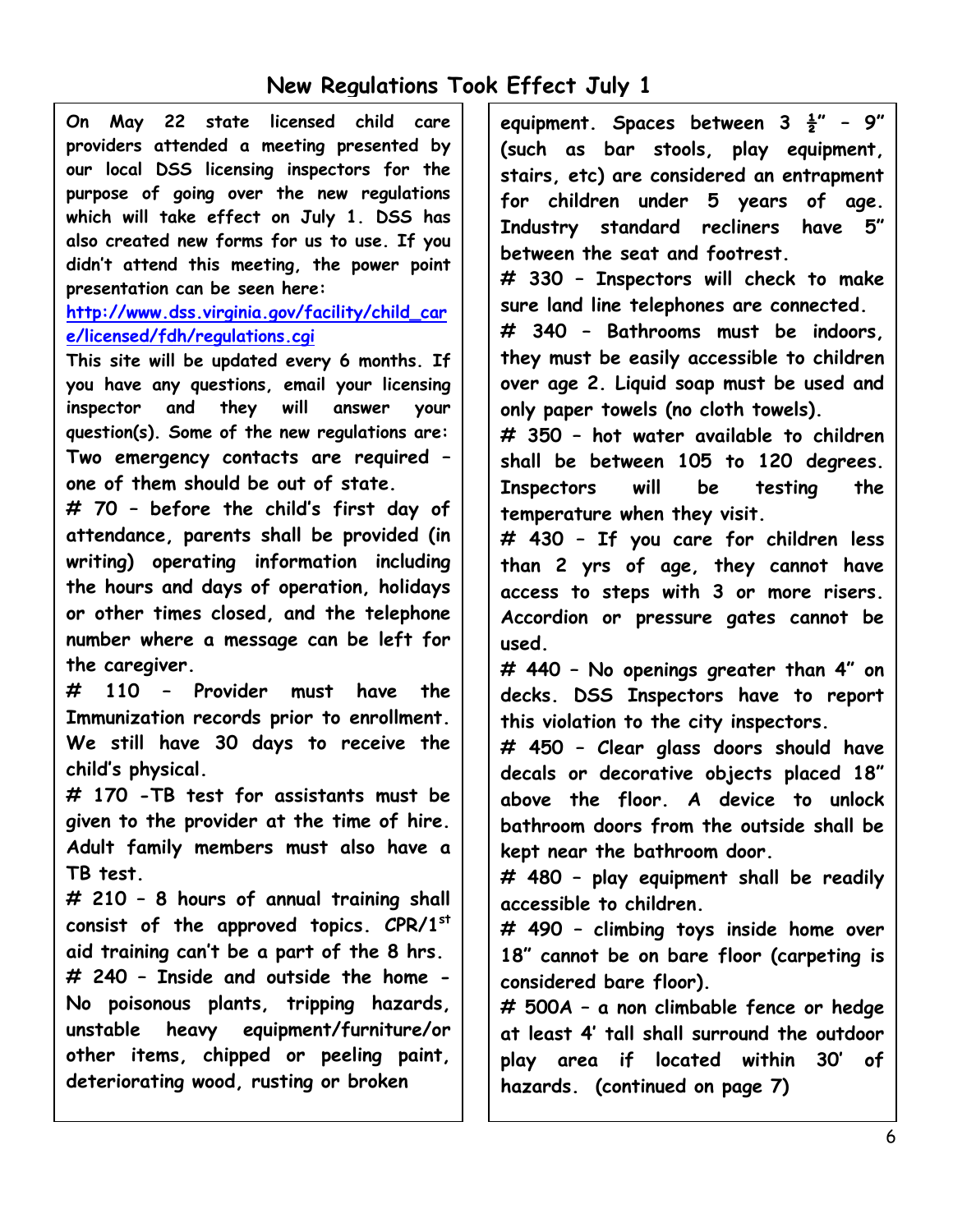# **New Regulations Took Effect July 1**

**On May 22 state licensed child care providers attended a meeting presented by our local DSS licensing inspectors for the purpose of going over the new regulations which will take effect on July 1. DSS has also created new forms for us to use. If you didn't attend this meeting, the power point presentation can be seen here:**

#### **[http://www.dss.virginia.gov/facility/child\\_car](http://www.dss.virginia.gov/facility/child_care/licensed/fdh/regulations.cgi) [e/licensed/fdh/regulations.cgi](http://www.dss.virginia.gov/facility/child_care/licensed/fdh/regulations.cgi)**

**This site will be updated every 6 months. If you have any questions, email your licensing inspector and they will answer your question(s). Some of the new regulations are: Two emergency contacts are required – one of them should be out of state.**

**# 70 – before the child's first day of attendance, parents shall be provided (in writing) operating information including the hours and days of operation, holidays or other times closed, and the telephone number where a message can be left for the caregiver.**

**# 110 – Provider must have the Immunization records prior to enrollment. We still have 30 days to receive the child's physical.**

**# 170 -TB test for assistants must be given to the provider at the time of hire. Adult family members must also have a TB test.**

**# 210 – 8 hours of annual training shall consist of the approved topics. CPR/1st aid training can't be a part of the 8 hrs. # 240 – Inside and outside the home - No poisonous plants, tripping hazards, unstable heavy equipment/furniture/or other items, chipped or peeling paint, deteriorating wood, rusting or broken**

**equipment. Spaces between 3 ½" – 9" (such as bar stools, play equipment, stairs, etc) are considered an entrapment for children under 5 years of age. Industry standard recliners have 5" between the seat and footrest.**

**# 330 – Inspectors will check to make sure land line telephones are connected.**

**# 340 – Bathrooms must be indoors, they must be easily accessible to children over age 2. Liquid soap must be used and only paper towels (no cloth towels).**

**# 350 – hot water available to children shall be between 105 to 120 degrees. Inspectors will be testing the temperature when they visit.**

**# 430 – If you care for children less than 2 yrs of age, they cannot have access to steps with 3 or more risers. Accordion or pressure gates cannot be used.**

**# 440 – No openings greater than 4" on decks. DSS Inspectors have to report this violation to the city inspectors.**

**# 450 – Clear glass doors should have decals or decorative objects placed 18" above the floor. A device to unlock bathroom doors from the outside shall be kept near the bathroom door.**

**# 480 – play equipment shall be readily accessible to children.**

**# 490 – climbing toys inside home over 18" cannot be on bare floor (carpeting is considered bare floor).**

**# 500A – a non climbable fence or hedge at least 4' tall shall surround the outdoor play area if located within 30' of hazards. (continued on page 7)**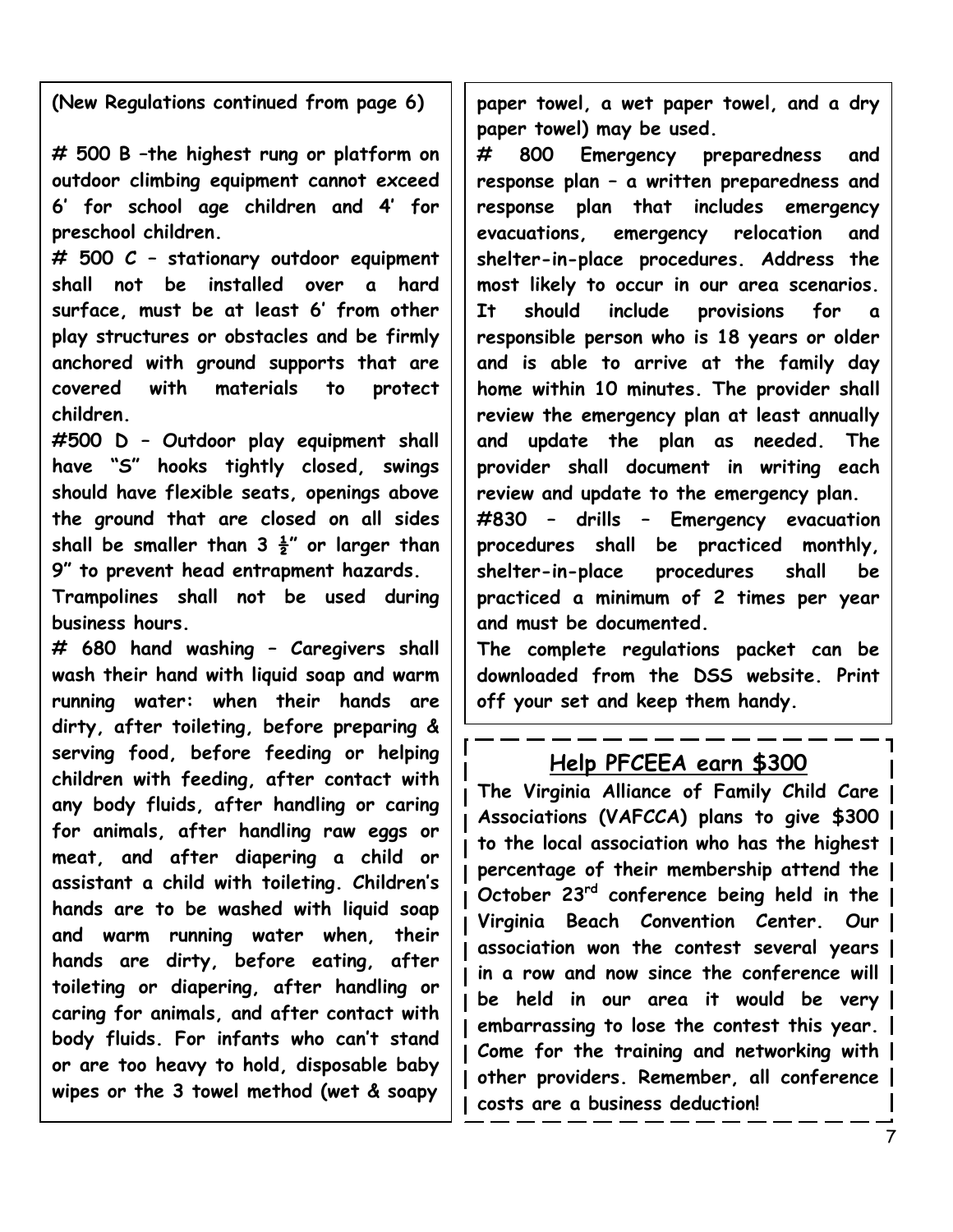**(New Regulations continued from page 6)**

**# 500 B –the highest rung or platform on outdoor climbing equipment cannot exceed 6' for school age children and 4' for preschool children.**

**# 500 C – stationary outdoor equipment shall not be installed over a hard surface, must be at least 6' from other play structures or obstacles and be firmly anchored with ground supports that are covered with materials to protect children.**

**#500 D – Outdoor play equipment shall have "S" hooks tightly closed, swings should have flexible seats, openings above the ground that are closed on all sides shall be smaller than 3 ½" or larger than 9" to prevent head entrapment hazards.**

**Trampolines shall not be used during business hours.**

**# 680 hand washing – Caregivers shall wash their hand with liquid soap and warm running water: when their hands are dirty, after toileting, before preparing & serving food, before feeding or helping children with feeding, after contact with any body fluids, after handling or caring for animals, after handling raw eggs or meat, and after diapering a child or assistant a child with toileting. Children's hands are to be washed with liquid soap and warm running water when, their hands are dirty, before eating, after toileting or diapering, after handling or caring for animals, and after contact with body fluids. For infants who can't stand or are too heavy to hold, disposable baby wipes or the 3 towel method (wet & soapy** 

**paper towel, a wet paper towel, and a dry paper towel) may be used.**

**# 800 Emergency preparedness and response plan – a written preparedness and response plan that includes emergency evacuations, emergency relocation and shelter-in-place procedures. Address the most likely to occur in our area scenarios. It should include provisions for a responsible person who is 18 years or older and is able to arrive at the family day home within 10 minutes. The provider shall review the emergency plan at least annually and update the plan as needed. The provider shall document in writing each review and update to the emergency plan.**

**#830 – drills – Emergency evacuation procedures shall be practiced monthly, shelter-in-place procedures shall be practiced a minimum of 2 times per year and must be documented.**

**The complete regulations packet can be downloaded from the DSS website. Print off your set and keep them handy.**

### **Help PFCEEA earn \$300**

**The Virginia Alliance of Family Child Care Associations (VAFCCA) plans to give \$300 to the local association who has the highest percentage of their membership attend the October 23rd conference being held in the Virginia Beach Convention Center. Our association won the contest several years in a row and now since the conference will be held in our area it would be very embarrassing to lose the contest this year. Come for the training and networking with other providers. Remember, all conference costs are a business deduction!**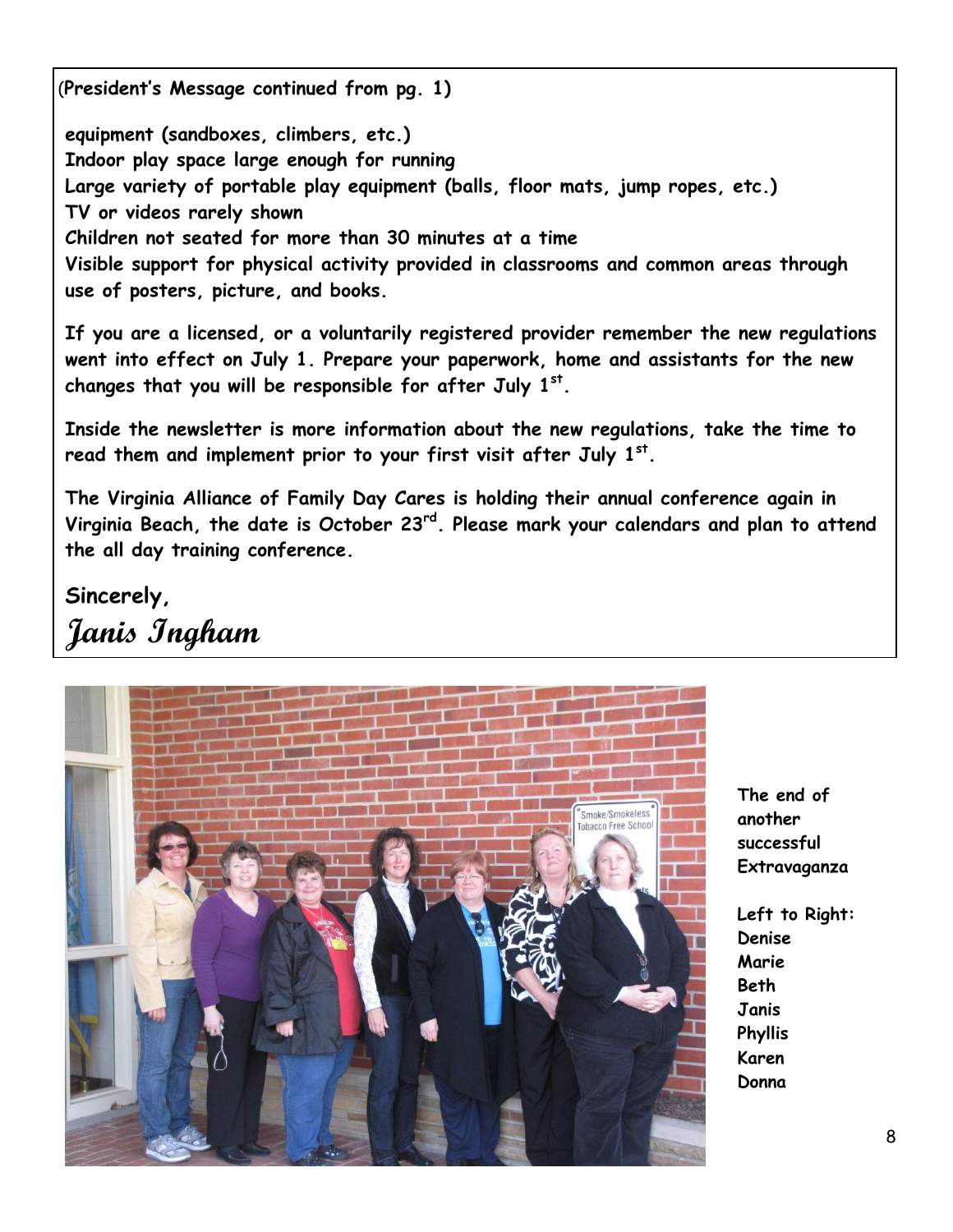(**President's Message continued from pg. 1)**

**equipment (sandboxes, climbers, etc.) Indoor play space large enough for running Large variety of portable play equipment (balls, floor mats, jump ropes, etc.) TV or videos rarely shown Children not seated for more than 30 minutes at a time Visible support for physical activity provided in classrooms and common areas through use of posters, picture, and books.**

**If you are a licensed, or a voluntarily registered provider remember the new regulations went into effect on July 1. Prepare your paperwork, home and assistants for the new changes that you will be responsible for after July 1st .** 

**Inside the newsletter is more information about the new regulations, take the time to read them and implement prior to your first visit after July 1st .** 

**The Virginia Alliance of Family Day Cares is holding their annual conference again in Virginia Beach, the date is October 23rd. Please mark your calendars and plan to attend the all day training conference.**

**Sincerely, Janis Ingham**



**The end of another successful Extravaganza**

**Left to Right: Denise Marie Beth Janis Phyllis Karen Donna**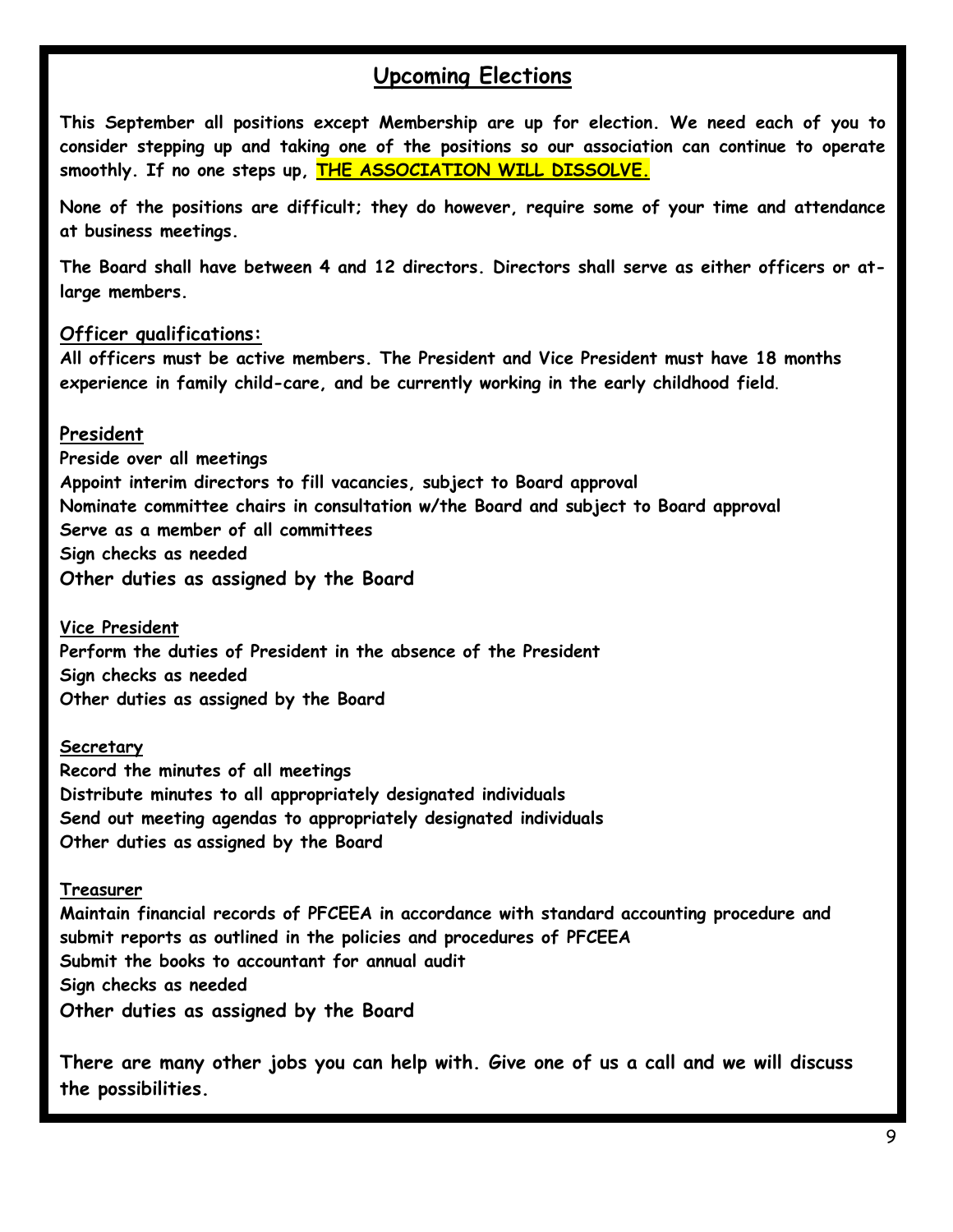#### **Upcoming Elections**

**This September all positions except Membership are up for election. We need each of you to consider stepping up and taking one of the positions so our association can continue to operate smoothly. If no one steps up, THE ASSOCIATION WILL DISSOLVE.**

**None of the positions are difficult; they do however, require some of your time and attendance at business meetings.**

**The Board shall have between 4 and 12 directors. Directors shall serve as either officers or atlarge members.**

#### **Officer qualifications:**

**All officers must be active members. The President and Vice President must have 18 months experience in family child-care, and be currently working in the early childhood field**.

#### **President**

**Preside over all meetings Appoint interim directors to fill vacancies, subject to Board approval Nominate committee chairs in consultation w/the Board and subject to Board approval Serve as a member of all committees Sign checks as needed Other duties as assigned by the Board**

**Vice President Perform the duties of President in the absence of the President Sign checks as needed Other duties as assigned by the Board**

#### **Secretary**

**Record the minutes of all meetings Distribute minutes to all appropriately designated individuals Send out meeting agendas to appropriately designated individuals Other duties as assigned by the Board**

#### **Treasurer**

**Maintain financial records of PFCEEA in accordance with standard accounting procedure and submit reports as outlined in the policies and procedures of PFCEEA Submit the books to accountant for annual audit Sign checks as needed Other duties as assigned by the Board**

**There are many other jobs you can help with. Give one of us a call and we will discuss the possibilities.**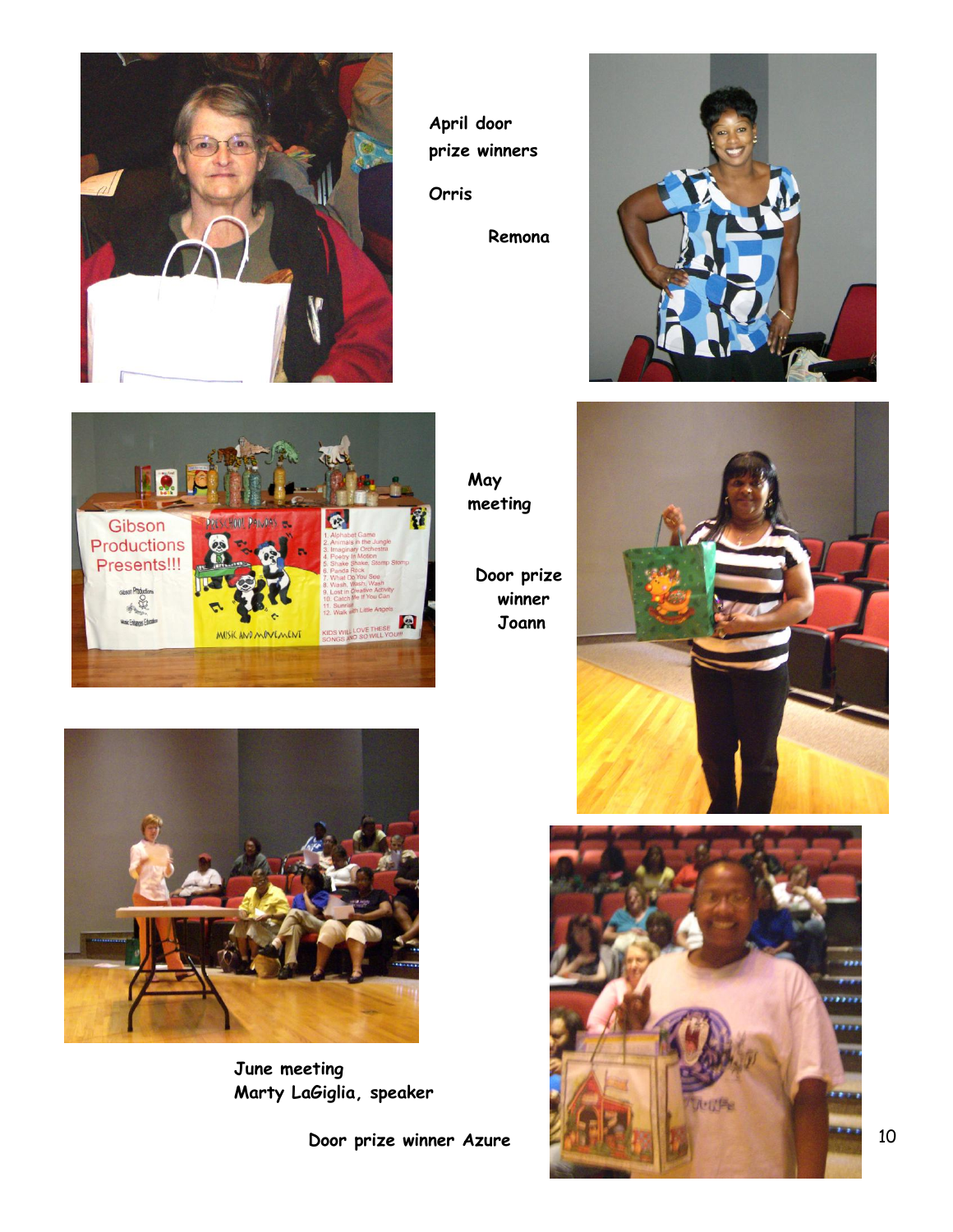

**April door prize winners**

**Orris** 

 **Remona**





**May meeting**

**Door prize winner Joann**





**June meeting Marty LaGiglia, speaker**

 **Door prize winner Azure**